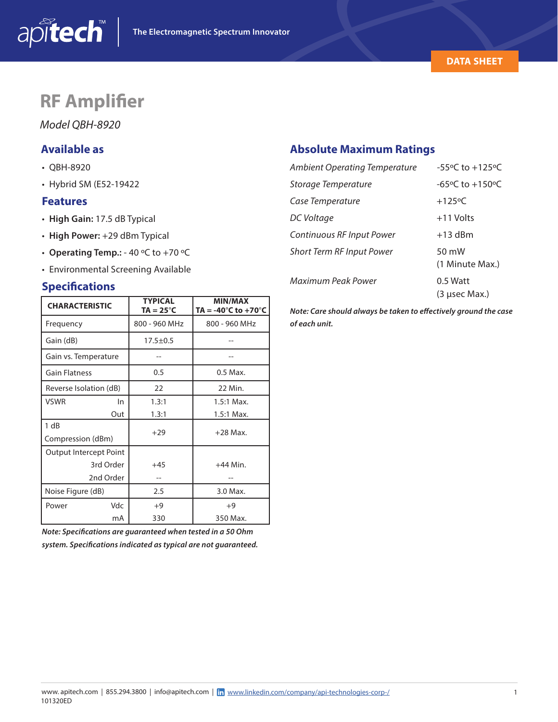

## **RF Amplifier**

*Model QBH-8920*

## **Available as**

- QBH-8920
- Hybrid SM (E52-19422

#### **Features**

- **High Gain:** 17.5 dB Typical
- **High Power:** +29 dBm Typical
- **Operating Temp.:** 40 ºC to +70 ºC
- Environmental Screening Available

#### **Specifications**

| <b>CHARACTERISTIC</b>  | <b>TYPICAL</b><br>TA = 25 $^{\circ}$ C | <b>MIN/MAX</b><br>TA = -40 $^{\circ}$ C to +70 $^{\circ}$ C |  |  |
|------------------------|----------------------------------------|-------------------------------------------------------------|--|--|
| Frequency              | 800 - 960 MHz                          | 800 - 960 MHz                                               |  |  |
| Gain (dB)              | $17.5 \pm 0.5$                         |                                                             |  |  |
| Gain vs. Temperature   |                                        |                                                             |  |  |
| <b>Gain Flatness</b>   | 0.5                                    | 0.5 Max.                                                    |  |  |
| Reverse Isolation (dB) | 22                                     | 22 Min.                                                     |  |  |
| <b>VSWR</b><br>In      | 1.3:1                                  | $1.5:1$ Max.                                                |  |  |
| Out                    | 1.3:1                                  | 1.5:1 Max.                                                  |  |  |
| 1 dB                   | $+29$                                  | $+28$ Max.                                                  |  |  |
| Compression (dBm)      |                                        |                                                             |  |  |
| Output Intercept Point |                                        |                                                             |  |  |
| 3rd Order              | $+45$                                  | $+44$ Min.                                                  |  |  |
| 2nd Order              |                                        |                                                             |  |  |
| Noise Figure (dB)      | 2.5                                    | 3.0 Max.                                                    |  |  |
| Vdc<br>Power           | $+9$                                   | $+9$                                                        |  |  |
| mA                     | 330                                    | 350 Max.                                                    |  |  |

*Note: Specifications are guaranteed when tested in a 50 Ohm system. Specifications indicated as typical are not guaranteed.*

## **Absolute Maximum Ratings**

| <b>Ambient Operating Temperature</b> | $-55^{\circ}$ C to $+125^{\circ}$ C |
|--------------------------------------|-------------------------------------|
| Storage Temperature                  | -65°C to +150°C                     |
| Case Temperature                     | $+125$ °C                           |
| DC Voltage                           | $+11$ Volts                         |
| Continuous RF Input Power            | $+13$ dBm                           |
| <b>Short Term RF Input Power</b>     | $50 \text{ mW}$<br>(1 Minute Max.)  |
| Maximum Peak Power                   | $0.5$ Watt<br>(3 usec Max.)         |

*Note: Care should always be taken to effectively ground the case of each unit.*